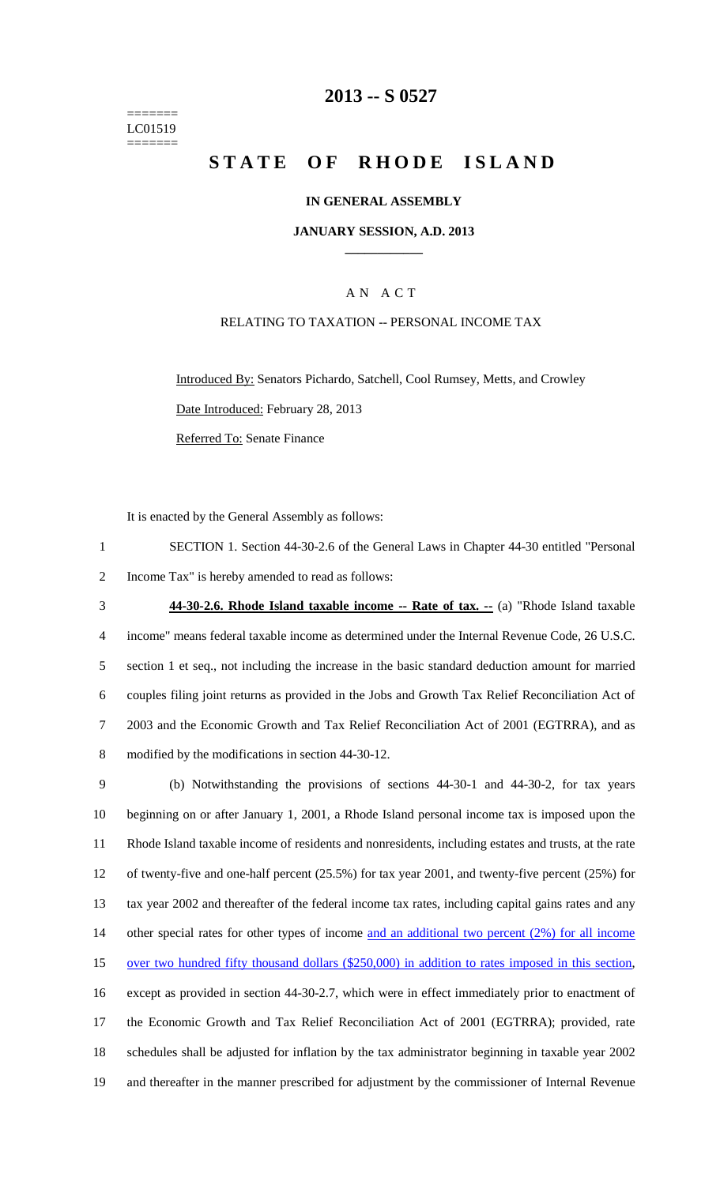======= LC01519 =======

## **2013 -- S 0527**

# **STATE OF RHODE ISLAND**

### **IN GENERAL ASSEMBLY**

#### **JANUARY SESSION, A.D. 2013 \_\_\_\_\_\_\_\_\_\_\_\_**

### A N A C T

## RELATING TO TAXATION -- PERSONAL INCOME TAX

Introduced By: Senators Pichardo, Satchell, Cool Rumsey, Metts, and Crowley Date Introduced: February 28, 2013 Referred To: Senate Finance

It is enacted by the General Assembly as follows:

1 SECTION 1. Section 44-30-2.6 of the General Laws in Chapter 44-30 entitled "Personal 2 Income Tax" is hereby amended to read as follows:

3 **44-30-2.6. Rhode Island taxable income -- Rate of tax. --** (a) "Rhode Island taxable 4 income" means federal taxable income as determined under the Internal Revenue Code, 26 U.S.C. 5 section 1 et seq., not including the increase in the basic standard deduction amount for married 6 couples filing joint returns as provided in the Jobs and Growth Tax Relief Reconciliation Act of 7 2003 and the Economic Growth and Tax Relief Reconciliation Act of 2001 (EGTRRA), and as 8 modified by the modifications in section 44-30-12.

9 (b) Notwithstanding the provisions of sections 44-30-1 and 44-30-2, for tax years 10 beginning on or after January 1, 2001, a Rhode Island personal income tax is imposed upon the 11 Rhode Island taxable income of residents and nonresidents, including estates and trusts, at the rate 12 of twenty-five and one-half percent (25.5%) for tax year 2001, and twenty-five percent (25%) for 13 tax year 2002 and thereafter of the federal income tax rates, including capital gains rates and any 14 other special rates for other types of income and an additional two percent (2%) for all income 15 over two hundred fifty thousand dollars (\$250,000) in addition to rates imposed in this section, 16 except as provided in section 44-30-2.7, which were in effect immediately prior to enactment of 17 the Economic Growth and Tax Relief Reconciliation Act of 2001 (EGTRRA); provided, rate 18 schedules shall be adjusted for inflation by the tax administrator beginning in taxable year 2002 19 and thereafter in the manner prescribed for adjustment by the commissioner of Internal Revenue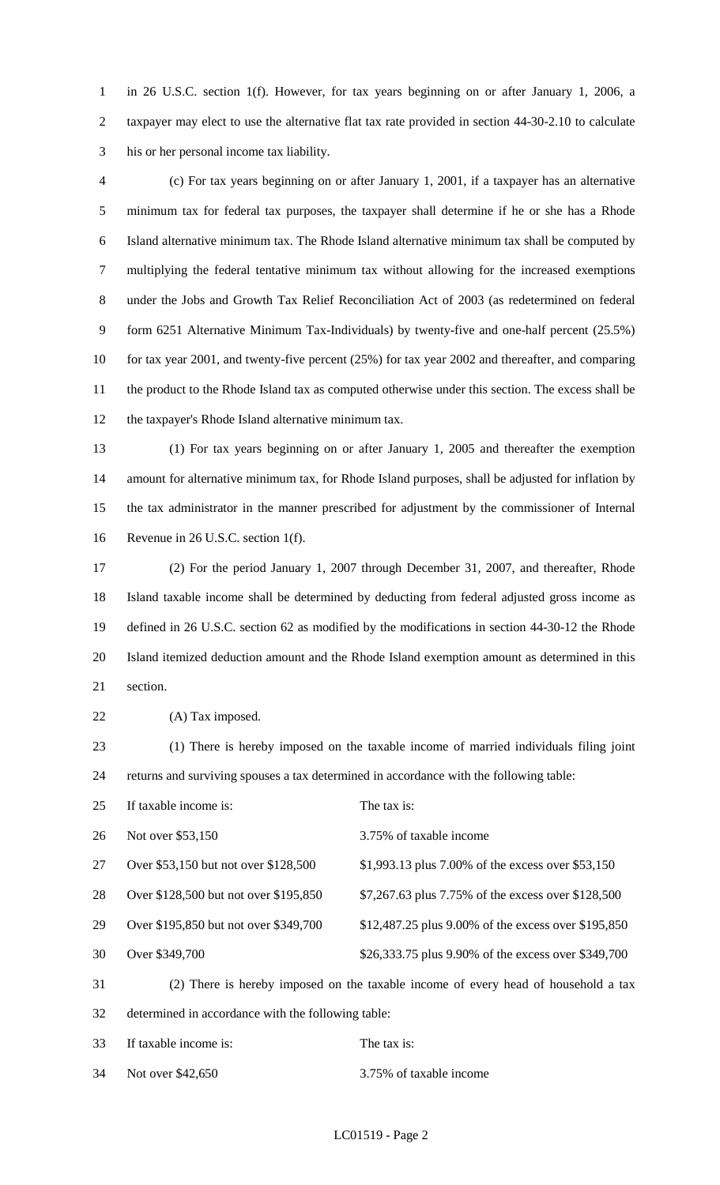1 in 26 U.S.C. section 1(f). However, for tax years beginning on or after January 1, 2006, a 2 taxpayer may elect to use the alternative flat tax rate provided in section 44-30-2.10 to calculate 3 his or her personal income tax liability.

4 (c) For tax years beginning on or after January 1, 2001, if a taxpayer has an alternative 5 minimum tax for federal tax purposes, the taxpayer shall determine if he or she has a Rhode 6 Island alternative minimum tax. The Rhode Island alternative minimum tax shall be computed by 7 multiplying the federal tentative minimum tax without allowing for the increased exemptions 8 under the Jobs and Growth Tax Relief Reconciliation Act of 2003 (as redetermined on federal 9 form 6251 Alternative Minimum Tax-Individuals) by twenty-five and one-half percent (25.5%) 10 for tax year 2001, and twenty-five percent (25%) for tax year 2002 and thereafter, and comparing 11 the product to the Rhode Island tax as computed otherwise under this section. The excess shall be 12 the taxpayer's Rhode Island alternative minimum tax.

13 (1) For tax years beginning on or after January 1, 2005 and thereafter the exemption 14 amount for alternative minimum tax, for Rhode Island purposes, shall be adjusted for inflation by 15 the tax administrator in the manner prescribed for adjustment by the commissioner of Internal 16 Revenue in 26 U.S.C. section 1(f).

17 (2) For the period January 1, 2007 through December 31, 2007, and thereafter, Rhode 18 Island taxable income shall be determined by deducting from federal adjusted gross income as 19 defined in 26 U.S.C. section 62 as modified by the modifications in section 44-30-12 the Rhode 20 Island itemized deduction amount and the Rhode Island exemption amount as determined in this 21 section.

22 (A) Tax imposed.

23 (1) There is hereby imposed on the taxable income of married individuals filing joint 24 returns and surviving spouses a tax determined in accordance with the following table:

| 25 | If taxable income is:                 | The tax is:                                                                        |
|----|---------------------------------------|------------------------------------------------------------------------------------|
| 26 | Not over \$53,150                     | 3.75% of taxable income                                                            |
| 27 | Over \$53,150 but not over \$128,500  | \$1,993.13 plus 7.00% of the excess over \$53,150                                  |
| 28 | Over \$128,500 but not over \$195,850 | \$7,267.63 plus 7.75% of the excess over \$128,500                                 |
| 29 | Over \$195,850 but not over \$349,700 | \$12,487.25 plus 9.00% of the excess over \$195,850                                |
| 30 | Over \$349,700                        | \$26,333.75 plus 9.90% of the excess over \$349,700                                |
| 31 |                                       | (2) There is hereby imposed on the taxable income of every head of household a tax |
|    |                                       |                                                                                    |

32 determined in accordance with the following table:

33 If taxable income is: The tax is:

34 Not over \$42,650 3.75% of taxable income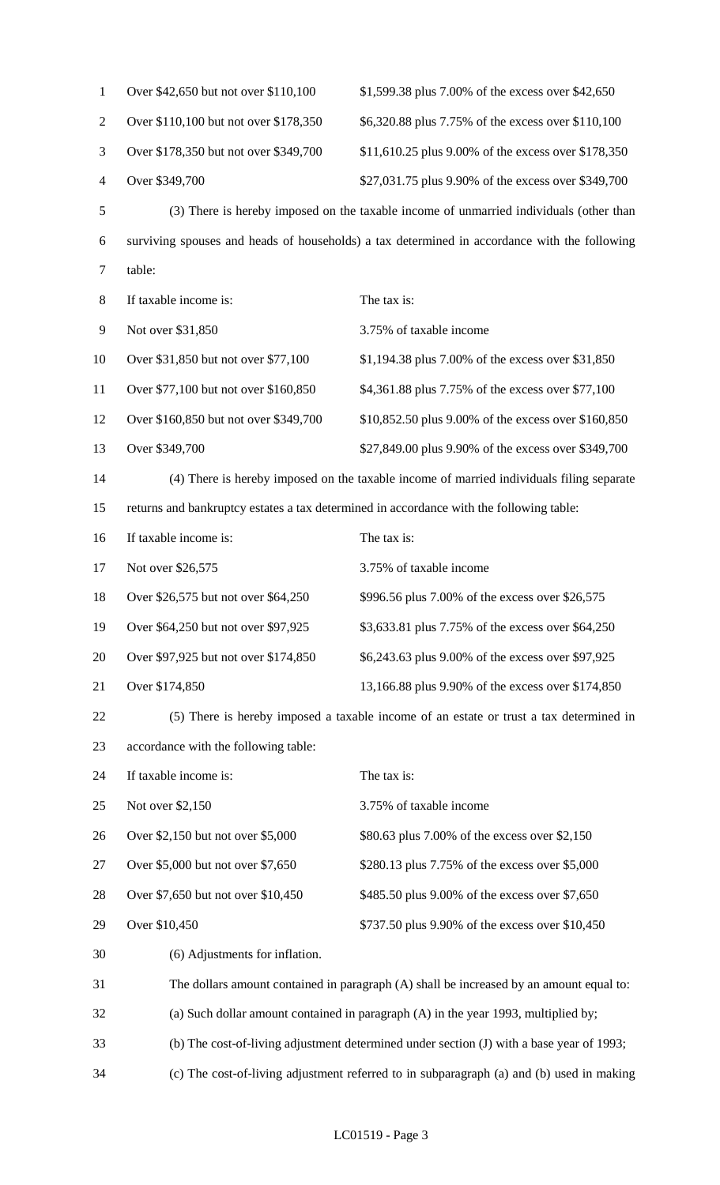| $\mathbf{1}$   | Over \$42,650 but not over \$110,100                                                     | \$1,599.38 plus 7.00% of the excess over \$42,650                                            |  |
|----------------|------------------------------------------------------------------------------------------|----------------------------------------------------------------------------------------------|--|
| $\overline{2}$ | Over \$110,100 but not over \$178,350                                                    | \$6,320.88 plus 7.75% of the excess over \$110,100                                           |  |
| 3              | Over \$178,350 but not over \$349,700                                                    | \$11,610.25 plus 9.00% of the excess over \$178,350                                          |  |
| $\overline{4}$ | Over \$349,700                                                                           | \$27,031.75 plus 9.90% of the excess over \$349,700                                          |  |
| $\mathfrak s$  |                                                                                          | (3) There is hereby imposed on the taxable income of unmarried individuals (other than       |  |
| 6              |                                                                                          | surviving spouses and heads of households) a tax determined in accordance with the following |  |
| $\tau$         | table:                                                                                   |                                                                                              |  |
| $8\,$          | If taxable income is:                                                                    | The tax is:                                                                                  |  |
| 9              | Not over \$31,850                                                                        | 3.75% of taxable income                                                                      |  |
| 10             | Over \$31,850 but not over \$77,100                                                      | \$1,194.38 plus 7.00% of the excess over \$31,850                                            |  |
| 11             | Over \$77,100 but not over \$160,850                                                     | \$4,361.88 plus 7.75% of the excess over \$77,100                                            |  |
| 12             | Over \$160,850 but not over \$349,700                                                    | \$10,852.50 plus 9.00% of the excess over \$160,850                                          |  |
| 13             | Over \$349,700                                                                           | \$27,849.00 plus 9.90% of the excess over \$349,700                                          |  |
| 14             | (4) There is hereby imposed on the taxable income of married individuals filing separate |                                                                                              |  |
| 15             | returns and bankruptcy estates a tax determined in accordance with the following table:  |                                                                                              |  |
| 16             | If taxable income is:                                                                    | The tax is:                                                                                  |  |
| 17             | Not over \$26,575                                                                        | 3.75% of taxable income                                                                      |  |
| 18             | Over \$26,575 but not over \$64,250                                                      | \$996.56 plus 7.00% of the excess over \$26,575                                              |  |
| 19             | Over \$64,250 but not over \$97,925                                                      | \$3,633.81 plus 7.75% of the excess over \$64,250                                            |  |
| 20             | Over \$97,925 but not over \$174,850                                                     | \$6,243.63 plus 9.00% of the excess over \$97,925                                            |  |
| 21             | Over \$174,850                                                                           | 13,166.88 plus 9.90% of the excess over \$174,850                                            |  |
| 22             |                                                                                          | (5) There is hereby imposed a taxable income of an estate or trust a tax determined in       |  |
| 23             | accordance with the following table:                                                     |                                                                                              |  |
| 24             | If taxable income is:                                                                    | The tax is:                                                                                  |  |
| 25             | Not over \$2,150                                                                         | 3.75% of taxable income                                                                      |  |
| 26             | Over \$2,150 but not over \$5,000                                                        | \$80.63 plus 7.00% of the excess over \$2,150                                                |  |
| 27             | Over \$5,000 but not over \$7,650                                                        | \$280.13 plus 7.75% of the excess over \$5,000                                               |  |
| 28             | Over \$7,650 but not over \$10,450                                                       | \$485.50 plus 9.00% of the excess over \$7,650                                               |  |
| 29             | Over \$10,450                                                                            | \$737.50 plus 9.90% of the excess over \$10,450                                              |  |
| 30             | (6) Adjustments for inflation.                                                           |                                                                                              |  |
| 31             |                                                                                          | The dollars amount contained in paragraph (A) shall be increased by an amount equal to:      |  |
| 32             |                                                                                          | (a) Such dollar amount contained in paragraph (A) in the year 1993, multiplied by;           |  |
| 33             | (b) The cost-of-living adjustment determined under section (J) with a base year of 1993; |                                                                                              |  |
| 34             | (c) The cost-of-living adjustment referred to in subparagraph (a) and (b) used in making |                                                                                              |  |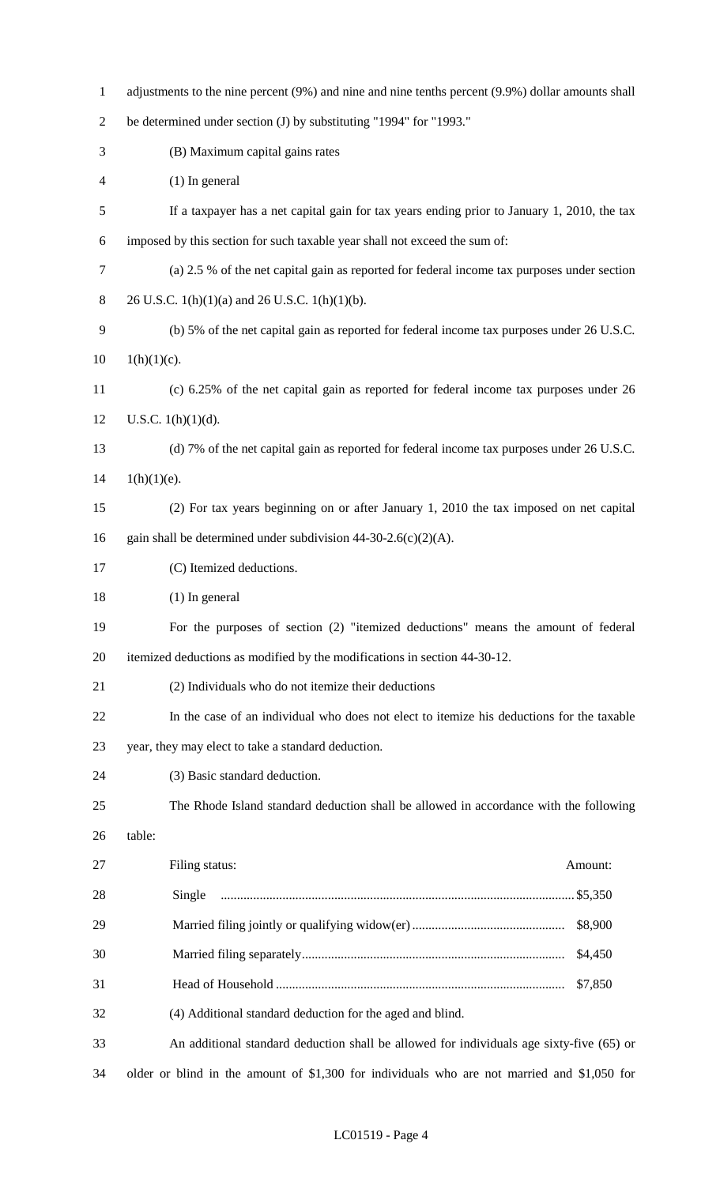| $\mathbf{1}$   | adjustments to the nine percent (9%) and nine and nine tenths percent (9.9%) dollar amounts shall |  |  |  |
|----------------|---------------------------------------------------------------------------------------------------|--|--|--|
| $\mathfrak{2}$ | be determined under section (J) by substituting "1994" for "1993."                                |  |  |  |
| 3              | (B) Maximum capital gains rates                                                                   |  |  |  |
| 4              | $(1)$ In general                                                                                  |  |  |  |
| 5              | If a taxpayer has a net capital gain for tax years ending prior to January 1, 2010, the tax       |  |  |  |
| 6              | imposed by this section for such taxable year shall not exceed the sum of:                        |  |  |  |
| 7              | (a) 2.5 % of the net capital gain as reported for federal income tax purposes under section       |  |  |  |
| $8\phantom{.}$ | 26 U.S.C. $1(h)(1)(a)$ and 26 U.S.C. $1(h)(1)(b)$ .                                               |  |  |  |
| 9              | (b) 5% of the net capital gain as reported for federal income tax purposes under 26 U.S.C.        |  |  |  |
| 10             | $1(h)(1)(c)$ .                                                                                    |  |  |  |
| 11             | (c) 6.25% of the net capital gain as reported for federal income tax purposes under 26            |  |  |  |
| 12             | U.S.C. $1(h)(1)(d)$ .                                                                             |  |  |  |
| 13             | (d) 7% of the net capital gain as reported for federal income tax purposes under 26 U.S.C.        |  |  |  |
| 14             | $1(h)(1)(e)$ .                                                                                    |  |  |  |
| 15             | (2) For tax years beginning on or after January 1, 2010 the tax imposed on net capital            |  |  |  |
| 16             | gain shall be determined under subdivision $44-30-2.6(c)(2)(A)$ .                                 |  |  |  |
| 17             | (C) Itemized deductions.                                                                          |  |  |  |
| 18             | $(1)$ In general                                                                                  |  |  |  |
| 19             | For the purposes of section (2) "itemized deductions" means the amount of federal                 |  |  |  |
| 20             | itemized deductions as modified by the modifications in section 44-30-12.                         |  |  |  |
| 21             | (2) Individuals who do not itemize their deductions                                               |  |  |  |
| 22             | In the case of an individual who does not elect to itemize his deductions for the taxable         |  |  |  |
| 23             | year, they may elect to take a standard deduction.                                                |  |  |  |
| 24             | (3) Basic standard deduction.                                                                     |  |  |  |
| 25             | The Rhode Island standard deduction shall be allowed in accordance with the following             |  |  |  |
| 26             | table:                                                                                            |  |  |  |
| 27             | Filing status:<br>Amount:                                                                         |  |  |  |
| 28             |                                                                                                   |  |  |  |
| 29             | \$8,900                                                                                           |  |  |  |
| 30             | \$4,450                                                                                           |  |  |  |
| 31             | \$7,850                                                                                           |  |  |  |
| 32             | (4) Additional standard deduction for the aged and blind.                                         |  |  |  |
| 33             | An additional standard deduction shall be allowed for individuals age sixty-five (65) or          |  |  |  |
| 34             | older or blind in the amount of \$1,300 for individuals who are not married and \$1,050 for       |  |  |  |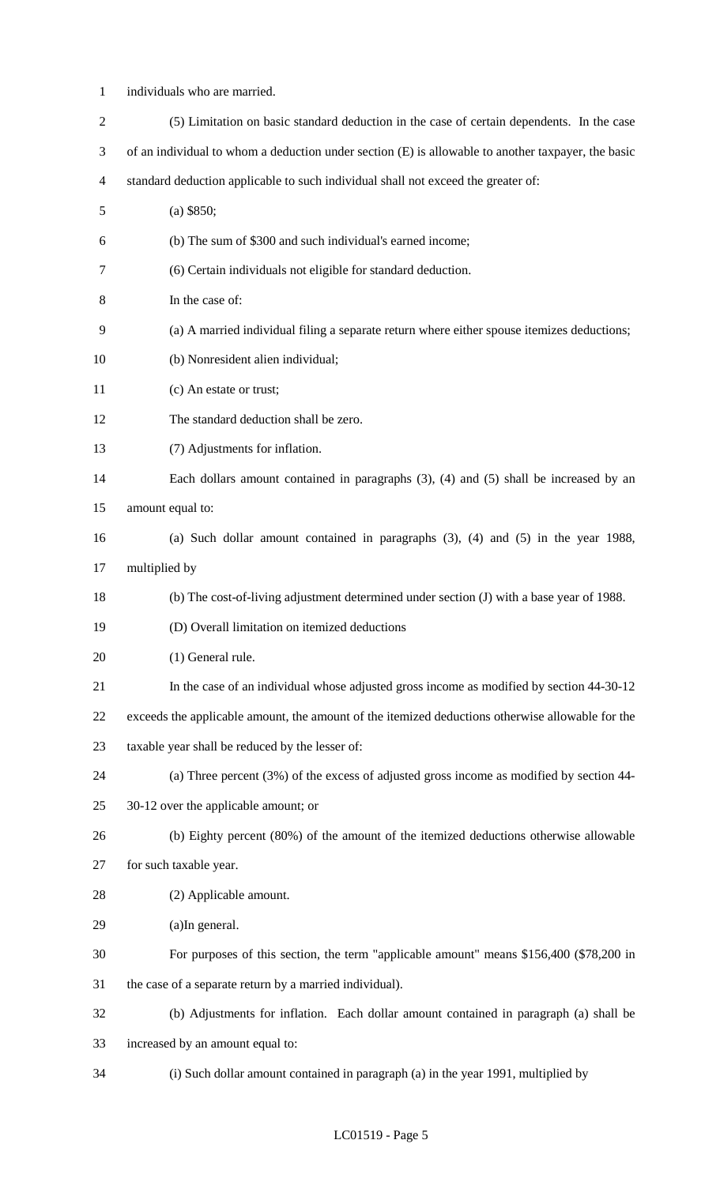1 individuals who are married.

| $\overline{2}$ | (5) Limitation on basic standard deduction in the case of certain dependents. In the case          |
|----------------|----------------------------------------------------------------------------------------------------|
| 3              | of an individual to whom a deduction under section (E) is allowable to another taxpayer, the basic |
| 4              | standard deduction applicable to such individual shall not exceed the greater of:                  |
| 5              | $(a)$ \$850;                                                                                       |
| 6              | (b) The sum of \$300 and such individual's earned income;                                          |
| $\tau$         | (6) Certain individuals not eligible for standard deduction.                                       |
| 8              | In the case of:                                                                                    |
| 9              | (a) A married individual filing a separate return where either spouse itemizes deductions;         |
| 10             | (b) Nonresident alien individual;                                                                  |
| 11             | (c) An estate or trust;                                                                            |
| 12             | The standard deduction shall be zero.                                                              |
| 13             | (7) Adjustments for inflation.                                                                     |
| 14             | Each dollars amount contained in paragraphs $(3)$ , $(4)$ and $(5)$ shall be increased by an       |
| 15             | amount equal to:                                                                                   |
| 16             | (a) Such dollar amount contained in paragraphs $(3)$ , $(4)$ and $(5)$ in the year 1988,           |
| 17             | multiplied by                                                                                      |
| 18             | (b) The cost-of-living adjustment determined under section (J) with a base year of 1988.           |
| 19             | (D) Overall limitation on itemized deductions                                                      |
| 20             | (1) General rule.                                                                                  |
| 21             | In the case of an individual whose adjusted gross income as modified by section 44-30-12           |
| 22             | exceeds the applicable amount, the amount of the itemized deductions otherwise allowable for the   |
| 23             | taxable year shall be reduced by the lesser of:                                                    |
| 24             | (a) Three percent $(3%)$ of the excess of adjusted gross income as modified by section 44-         |
| 25             | 30-12 over the applicable amount; or                                                               |
| 26             | (b) Eighty percent (80%) of the amount of the itemized deductions otherwise allowable              |
| 27             | for such taxable year.                                                                             |
| 28             | (2) Applicable amount.                                                                             |
| 29             | (a)In general.                                                                                     |
| 30             | For purposes of this section, the term "applicable amount" means \$156,400 (\$78,200 in            |
| 31             | the case of a separate return by a married individual).                                            |
| 32             | (b) Adjustments for inflation. Each dollar amount contained in paragraph (a) shall be              |
| 33             | increased by an amount equal to:                                                                   |
| 34             | (i) Such dollar amount contained in paragraph (a) in the year 1991, multiplied by                  |

## LC01519 - Page 5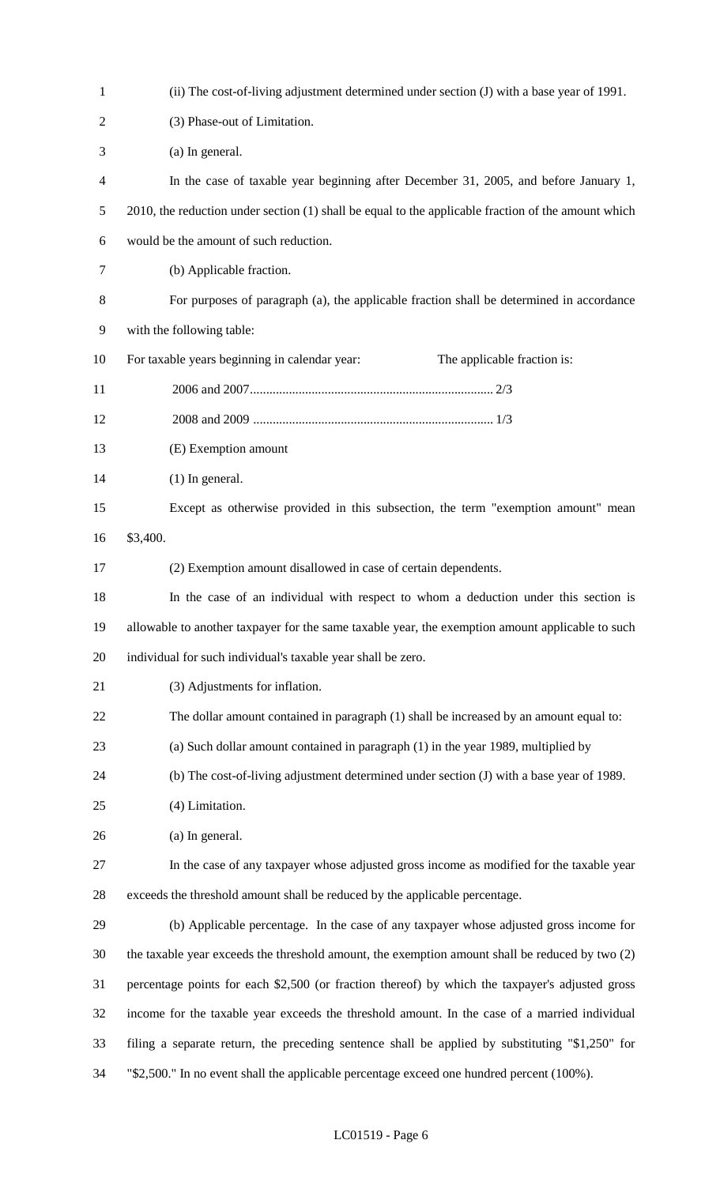| 1              | (ii) The cost-of-living adjustment determined under section (J) with a base year of 1991.           |
|----------------|-----------------------------------------------------------------------------------------------------|
| $\overline{2}$ | (3) Phase-out of Limitation.                                                                        |
| 3              | (a) In general.                                                                                     |
| 4              | In the case of taxable year beginning after December 31, 2005, and before January 1,                |
| 5              | 2010, the reduction under section (1) shall be equal to the applicable fraction of the amount which |
| 6              | would be the amount of such reduction.                                                              |
| 7              | (b) Applicable fraction.                                                                            |
| 8              | For purposes of paragraph (a), the applicable fraction shall be determined in accordance            |
| 9              | with the following table:                                                                           |
| 10             | For taxable years beginning in calendar year:<br>The applicable fraction is:                        |
| 11             |                                                                                                     |
| 12             |                                                                                                     |
| 13             | (E) Exemption amount                                                                                |
| 14             | $(1)$ In general.                                                                                   |
| 15             | Except as otherwise provided in this subsection, the term "exemption amount" mean                   |
| 16             | \$3,400.                                                                                            |
| 17             | (2) Exemption amount disallowed in case of certain dependents.                                      |
| 18             | In the case of an individual with respect to whom a deduction under this section is                 |
| 19             | allowable to another taxpayer for the same taxable year, the exemption amount applicable to such    |
| 20             | individual for such individual's taxable year shall be zero.                                        |
| 21             | (3) Adjustments for inflation.                                                                      |
| 22             | The dollar amount contained in paragraph (1) shall be increased by an amount equal to:              |
| 23             | (a) Such dollar amount contained in paragraph (1) in the year 1989, multiplied by                   |
| 24             | (b) The cost-of-living adjustment determined under section (J) with a base year of 1989.            |
| 25             | (4) Limitation.                                                                                     |
| 26             | (a) In general.                                                                                     |
| 27             | In the case of any taxpayer whose adjusted gross income as modified for the taxable year            |
| 28             | exceeds the threshold amount shall be reduced by the applicable percentage.                         |
| 29             | (b) Applicable percentage. In the case of any taxpayer whose adjusted gross income for              |
| 30             | the taxable year exceeds the threshold amount, the exemption amount shall be reduced by two (2)     |
| 31             | percentage points for each \$2,500 (or fraction thereof) by which the taxpayer's adjusted gross     |
| 32             | income for the taxable year exceeds the threshold amount. In the case of a married individual       |
| 33             | filing a separate return, the preceding sentence shall be applied by substituting "\$1,250" for     |
| 34             | "\$2,500." In no event shall the applicable percentage exceed one hundred percent $(100\%)$ .       |

## LC01519 - Page 6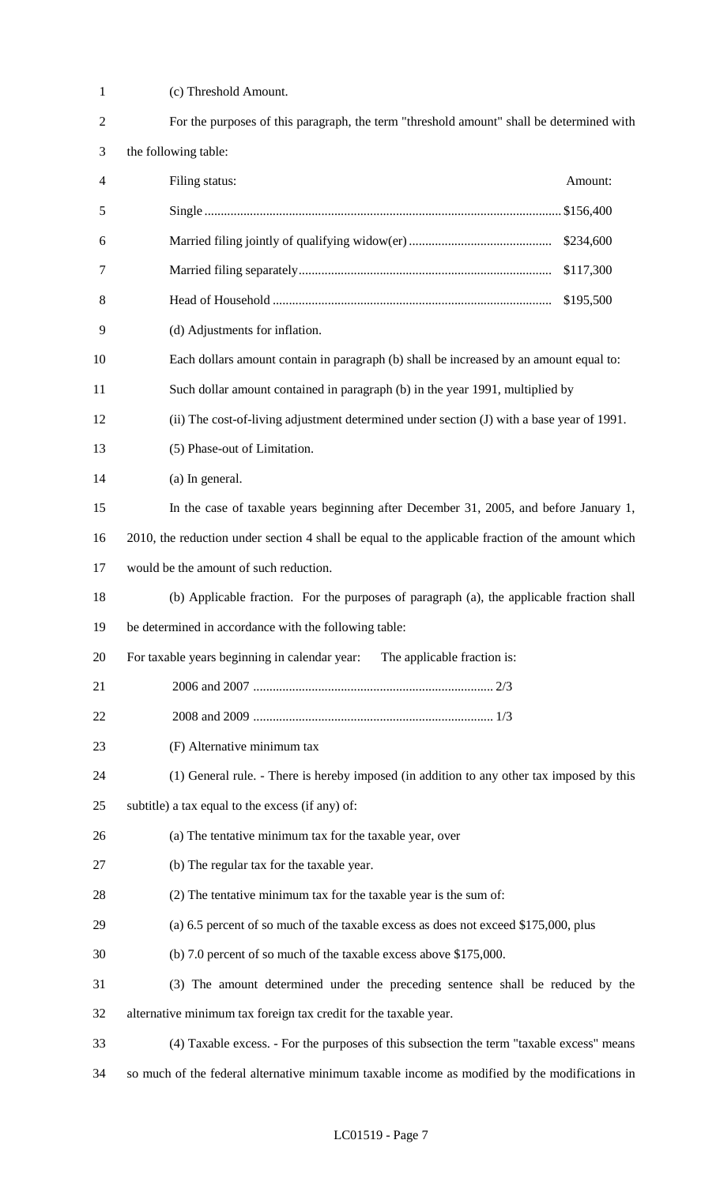| $\mathbf{1}$   | (c) Threshold Amount.                                                                             |
|----------------|---------------------------------------------------------------------------------------------------|
| $\overline{2}$ | For the purposes of this paragraph, the term "threshold amount" shall be determined with          |
| 3              | the following table:                                                                              |
| 4              | Filing status:<br>Amount:                                                                         |
| 5              |                                                                                                   |
| 6              | \$234,600                                                                                         |
| 7              | \$117,300                                                                                         |
| 8              | \$195,500                                                                                         |
| 9              | (d) Adjustments for inflation.                                                                    |
| 10             | Each dollars amount contain in paragraph (b) shall be increased by an amount equal to:            |
| 11             | Such dollar amount contained in paragraph (b) in the year 1991, multiplied by                     |
| 12             | (ii) The cost-of-living adjustment determined under section (J) with a base year of 1991.         |
| 13             | (5) Phase-out of Limitation.                                                                      |
| 14             | (a) In general.                                                                                   |
| 15             | In the case of taxable years beginning after December 31, 2005, and before January 1,             |
| 16             | 2010, the reduction under section 4 shall be equal to the applicable fraction of the amount which |
| 17             | would be the amount of such reduction.                                                            |
| 18             | (b) Applicable fraction. For the purposes of paragraph (a), the applicable fraction shall         |
| 19             | be determined in accordance with the following table:                                             |
| 20             | For taxable years beginning in calendar year:<br>The applicable fraction is:                      |
| 21             |                                                                                                   |
| 22             |                                                                                                   |
| 23             | (F) Alternative minimum tax                                                                       |
| 24             | (1) General rule. - There is hereby imposed (in addition to any other tax imposed by this         |
| 25             | subtitle) a tax equal to the excess (if any) of:                                                  |
| 26             | (a) The tentative minimum tax for the taxable year, over                                          |
| 27             | (b) The regular tax for the taxable year.                                                         |
| 28             | (2) The tentative minimum tax for the taxable year is the sum of:                                 |
| 29             | (a) 6.5 percent of so much of the taxable excess as does not exceed \$175,000, plus               |
| 30             | (b) 7.0 percent of so much of the taxable excess above \$175,000.                                 |
| 31             | (3) The amount determined under the preceding sentence shall be reduced by the                    |
| 32             | alternative minimum tax foreign tax credit for the taxable year.                                  |
| 33             | (4) Taxable excess. - For the purposes of this subsection the term "taxable excess" means         |
| 34             | so much of the federal alternative minimum taxable income as modified by the modifications in     |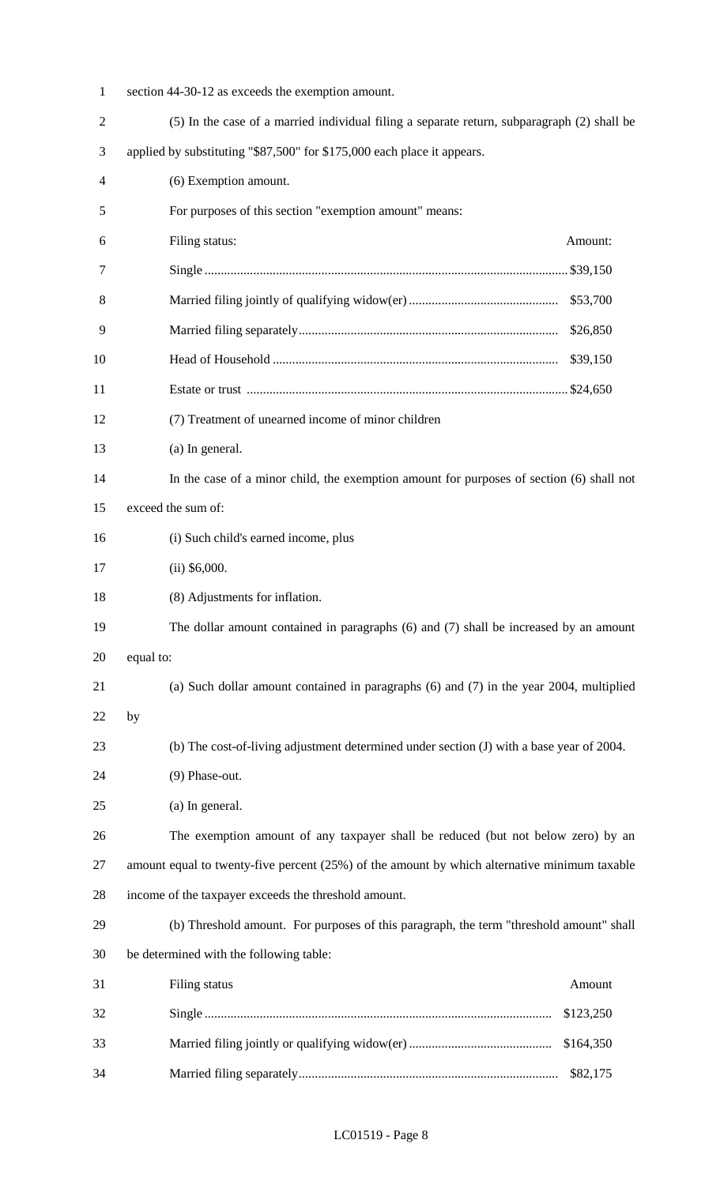| 1              | section 44-30-12 as exceeds the exemption amount.                                            |  |  |  |  |
|----------------|----------------------------------------------------------------------------------------------|--|--|--|--|
| $\overline{2}$ | (5) In the case of a married individual filing a separate return, subparagraph (2) shall be  |  |  |  |  |
| 3              | applied by substituting "\$87,500" for \$175,000 each place it appears.                      |  |  |  |  |
| 4              | (6) Exemption amount.                                                                        |  |  |  |  |
| 5              | For purposes of this section "exemption amount" means:                                       |  |  |  |  |
| 6              | Filing status:<br>Amount:                                                                    |  |  |  |  |
| 7              |                                                                                              |  |  |  |  |
| 8              | \$53,700                                                                                     |  |  |  |  |
| 9              | \$26,850                                                                                     |  |  |  |  |
| 10             | \$39,150                                                                                     |  |  |  |  |
| 11             |                                                                                              |  |  |  |  |
| 12             | (7) Treatment of unearned income of minor children                                           |  |  |  |  |
| 13             | (a) In general.                                                                              |  |  |  |  |
| 14             | In the case of a minor child, the exemption amount for purposes of section (6) shall not     |  |  |  |  |
| 15             | exceed the sum of:                                                                           |  |  |  |  |
| 16             | (i) Such child's earned income, plus                                                         |  |  |  |  |
| 17             | $(ii)$ \$6,000.                                                                              |  |  |  |  |
| 18             | (8) Adjustments for inflation.                                                               |  |  |  |  |
| 19             | The dollar amount contained in paragraphs (6) and (7) shall be increased by an amount        |  |  |  |  |
| 20             | equal to:                                                                                    |  |  |  |  |
| 21             | (a) Such dollar amount contained in paragraphs $(6)$ and $(7)$ in the year 2004, multiplied  |  |  |  |  |
| 22             | by                                                                                           |  |  |  |  |
| 23             | (b) The cost-of-living adjustment determined under section (J) with a base year of 2004.     |  |  |  |  |
| 24             | (9) Phase-out.                                                                               |  |  |  |  |
| 25             | (a) In general.                                                                              |  |  |  |  |
| 26             | The exemption amount of any taxpayer shall be reduced (but not below zero) by an             |  |  |  |  |
| 27             | amount equal to twenty-five percent (25%) of the amount by which alternative minimum taxable |  |  |  |  |
| 28             | income of the taxpayer exceeds the threshold amount.                                         |  |  |  |  |
| 29             | (b) Threshold amount. For purposes of this paragraph, the term "threshold amount" shall      |  |  |  |  |
| 30             | be determined with the following table:                                                      |  |  |  |  |
| 31             | Filing status<br>Amount                                                                      |  |  |  |  |
| 32             | \$123,250                                                                                    |  |  |  |  |
| 33             | \$164,350                                                                                    |  |  |  |  |
| 34             | \$82,175                                                                                     |  |  |  |  |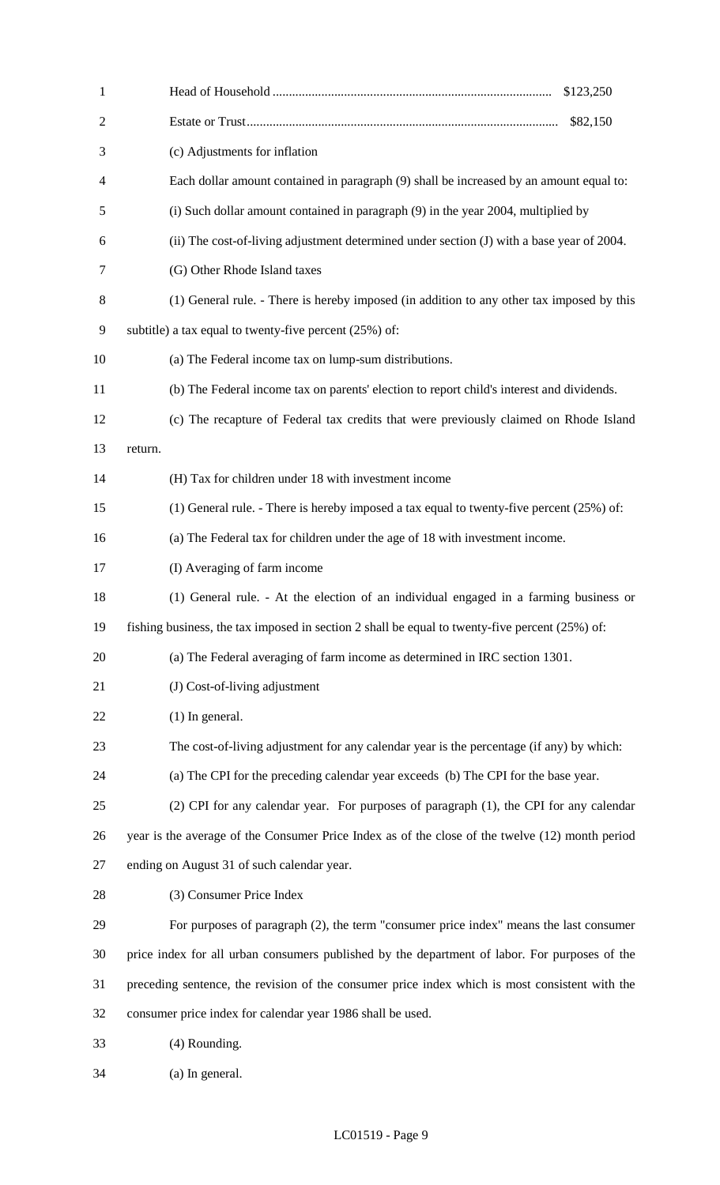| $\mathbf{1}$   | \$123,250                                                                                       |
|----------------|-------------------------------------------------------------------------------------------------|
| $\overline{2}$ | \$82,150                                                                                        |
| 3              | (c) Adjustments for inflation                                                                   |
| $\overline{4}$ | Each dollar amount contained in paragraph (9) shall be increased by an amount equal to:         |
| 5              | (i) Such dollar amount contained in paragraph (9) in the year 2004, multiplied by               |
| 6              | (ii) The cost-of-living adjustment determined under section (J) with a base year of 2004.       |
| 7              | (G) Other Rhode Island taxes                                                                    |
| 8              | (1) General rule. - There is hereby imposed (in addition to any other tax imposed by this       |
| 9              | subtitle) a tax equal to twenty-five percent $(25%)$ of:                                        |
| 10             | (a) The Federal income tax on lump-sum distributions.                                           |
| 11             | (b) The Federal income tax on parents' election to report child's interest and dividends.       |
| 12             | (c) The recapture of Federal tax credits that were previously claimed on Rhode Island           |
| 13             | return.                                                                                         |
| 14             | (H) Tax for children under 18 with investment income                                            |
| 15             | (1) General rule. - There is hereby imposed a tax equal to twenty-five percent $(25%)$ of:      |
| 16             | (a) The Federal tax for children under the age of 18 with investment income.                    |
| 17             | (I) Averaging of farm income                                                                    |
| 18             | (1) General rule. - At the election of an individual engaged in a farming business or           |
| 19             | fishing business, the tax imposed in section 2 shall be equal to twenty-five percent (25%) of:  |
| 20             | (a) The Federal averaging of farm income as determined in IRC section 1301.                     |
| 21             | (J) Cost-of-living adjustment                                                                   |
| 22             | $(1)$ In general.                                                                               |
| 23             | The cost-of-living adjustment for any calendar year is the percentage (if any) by which:        |
| 24             | (a) The CPI for the preceding calendar year exceeds (b) The CPI for the base year.              |
| 25             | (2) CPI for any calendar year. For purposes of paragraph (1), the CPI for any calendar          |
| 26             | year is the average of the Consumer Price Index as of the close of the twelve (12) month period |
| 27             | ending on August 31 of such calendar year.                                                      |
| 28             | (3) Consumer Price Index                                                                        |
| 29             | For purposes of paragraph (2), the term "consumer price index" means the last consumer          |
| 30             | price index for all urban consumers published by the department of labor. For purposes of the   |
| 31             | preceding sentence, the revision of the consumer price index which is most consistent with the  |
| 32             | consumer price index for calendar year 1986 shall be used.                                      |
| 33             | (4) Rounding.                                                                                   |
| 34             | (a) In general.                                                                                 |

## LC01519 - Page 9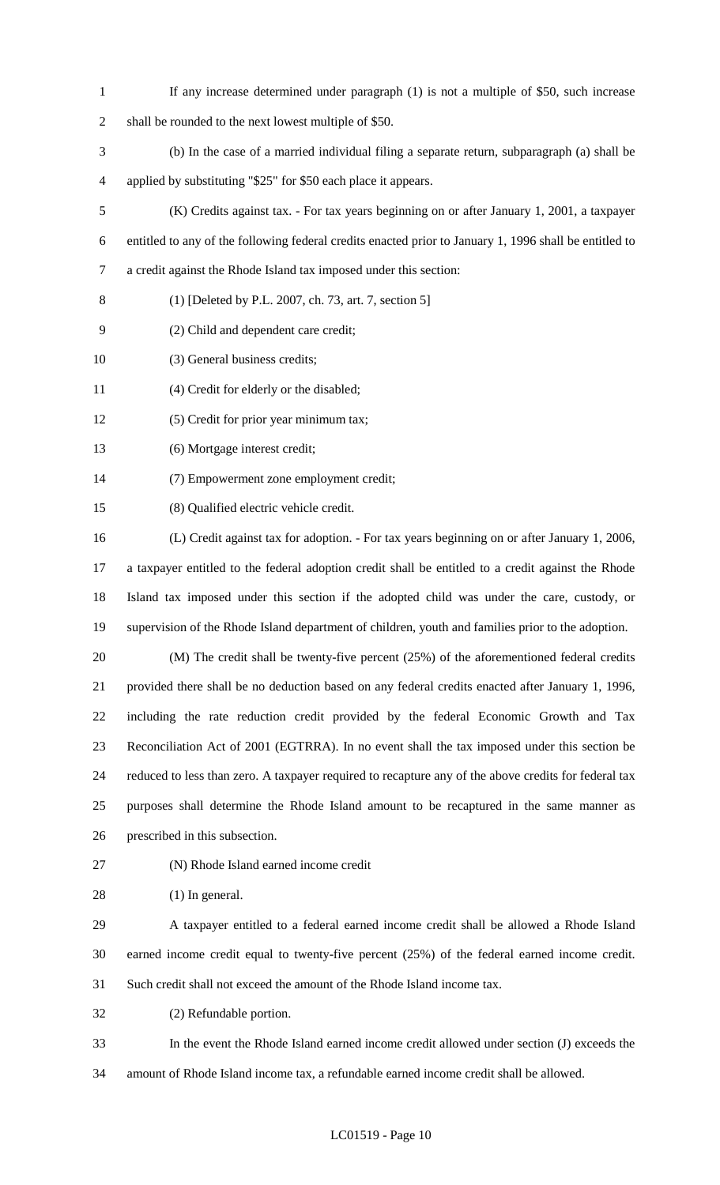- 1 If any increase determined under paragraph (1) is not a multiple of \$50, such increase
- 2 shall be rounded to the next lowest multiple of \$50.
- 3 (b) In the case of a married individual filing a separate return, subparagraph (a) shall be 4 applied by substituting "\$25" for \$50 each place it appears.
- 5 (K) Credits against tax. For tax years beginning on or after January 1, 2001, a taxpayer 6 entitled to any of the following federal credits enacted prior to January 1, 1996 shall be entitled to 7 a credit against the Rhode Island tax imposed under this section:
- 8 (1) [Deleted by P.L. 2007, ch. 73, art. 7, section 5]
- 9 (2) Child and dependent care credit;
- 10 (3) General business credits;
- 11 (4) Credit for elderly or the disabled;
- 12 (5) Credit for prior year minimum tax;
- 13 (6) Mortgage interest credit;
- 14 (7) Empowerment zone employment credit;
- 15 (8) Qualified electric vehicle credit.
- 16 (L) Credit against tax for adoption. For tax years beginning on or after January 1, 2006, 17 a taxpayer entitled to the federal adoption credit shall be entitled to a credit against the Rhode 18 Island tax imposed under this section if the adopted child was under the care, custody, or 19 supervision of the Rhode Island department of children, youth and families prior to the adoption.
	-
- 20 (M) The credit shall be twenty-five percent (25%) of the aforementioned federal credits 21 provided there shall be no deduction based on any federal credits enacted after January 1, 1996, 22 including the rate reduction credit provided by the federal Economic Growth and Tax 23 Reconciliation Act of 2001 (EGTRRA). In no event shall the tax imposed under this section be 24 reduced to less than zero. A taxpayer required to recapture any of the above credits for federal tax 25 purposes shall determine the Rhode Island amount to be recaptured in the same manner as 26 prescribed in this subsection.
- 
- 27 (N) Rhode Island earned income credit
- 28 (1) In general.
- 29 A taxpayer entitled to a federal earned income credit shall be allowed a Rhode Island 30 earned income credit equal to twenty-five percent (25%) of the federal earned income credit. 31 Such credit shall not exceed the amount of the Rhode Island income tax.
- 32 (2) Refundable portion.
- 33 In the event the Rhode Island earned income credit allowed under section (J) exceeds the 34 amount of Rhode Island income tax, a refundable earned income credit shall be allowed.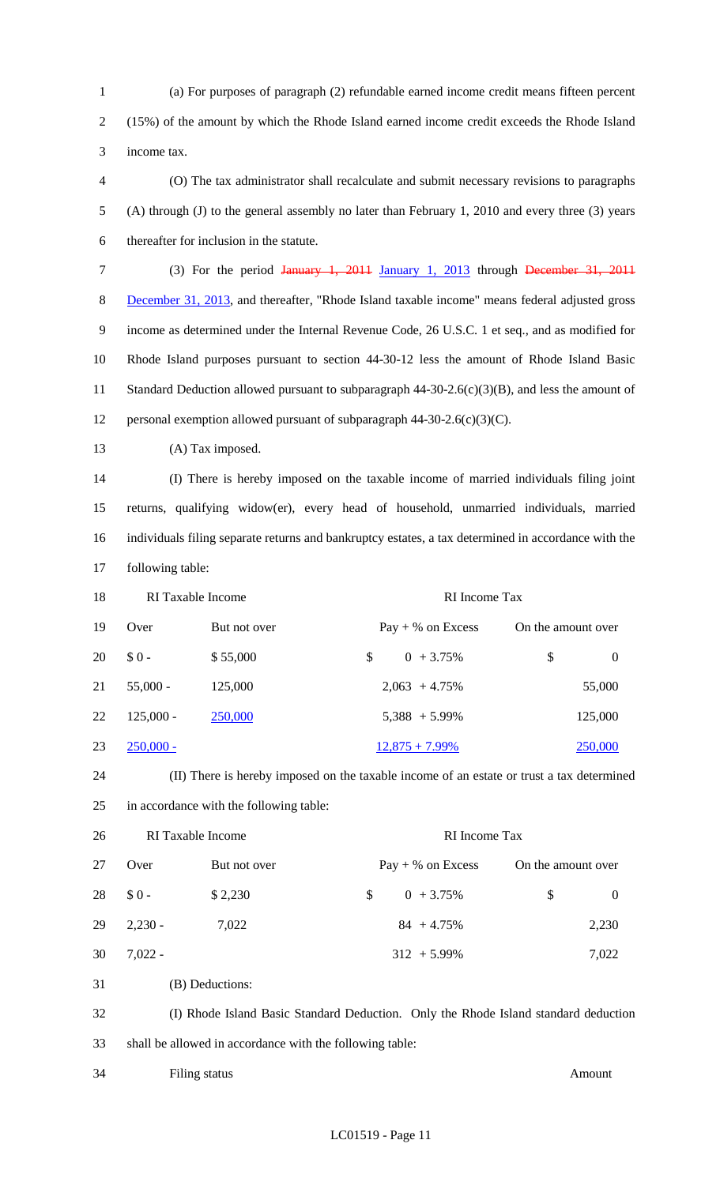1 (a) For purposes of paragraph (2) refundable earned income credit means fifteen percent 2 (15%) of the amount by which the Rhode Island earned income credit exceeds the Rhode Island 3 income tax.

4 (O) The tax administrator shall recalculate and submit necessary revisions to paragraphs 5 (A) through (J) to the general assembly no later than February 1, 2010 and every three (3) years 6 thereafter for inclusion in the statute.

- 7 (3) For the period January 1, 2011 January 1, 2013 through December 31, 2011 8 December 31, 2013, and thereafter, "Rhode Island taxable income" means federal adjusted gross 9 income as determined under the Internal Revenue Code, 26 U.S.C. 1 et seq., and as modified for 10 Rhode Island purposes pursuant to section 44-30-12 less the amount of Rhode Island Basic 11 Standard Deduction allowed pursuant to subparagraph 44-30-2.6(c)(3)(B), and less the amount of 12 personal exemption allowed pursuant of subparagraph  $44-30-2.6(c)(3)(C)$ .
- 13 (A) Tax imposed.

14 (I) There is hereby imposed on the taxable income of married individuals filing joint 15 returns, qualifying widow(er), every head of household, unmarried individuals, married 16 individuals filing separate returns and bankruptcy estates, a tax determined in accordance with the 17 following table:

| 18 | RI Taxable Income |              |                     | RI Income Tax      |  |  |
|----|-------------------|--------------|---------------------|--------------------|--|--|
| 19 | Over              | But not over | $Pay + % on Excess$ | On the amount over |  |  |
| 20 | $$0-$             | \$55,000     | $0 + 3.75\%$<br>\$. | \$<br>$\theta$     |  |  |
| 21 | $55,000 -$        | 125,000      | $2,063 + 4.75\%$    | 55,000             |  |  |
| 22 | $125,000 -$       | 250,000      | $5,388 + 5.99\%$    | 125,000            |  |  |
| 23 | $250,000 -$       |              | $12,875 + 7.99\%$   | 250,000            |  |  |



| 26 | RI Taxable Income<br>RI Income Tax |                 |                     |                      |
|----|------------------------------------|-----------------|---------------------|----------------------|
| 27 | Over                               | But not over    | $Pay + % on Excess$ | On the amount over   |
| 28 | $$0-$                              | \$2,230         | $0 + 3.75\%$<br>\$. | \$<br>$\overline{0}$ |
| 29 | $2,230 -$                          | 7,022           | $84 + 4.75\%$       | 2,230                |
| 30 | $7,022 -$                          |                 | $312 + 5.99\%$      | 7,022                |
| 31 |                                    | (B) Deductions: |                     |                      |

32 (I) Rhode Island Basic Standard Deduction. Only the Rhode Island standard deduction 33 shall be allowed in accordance with the following table:

34 Filing status Amount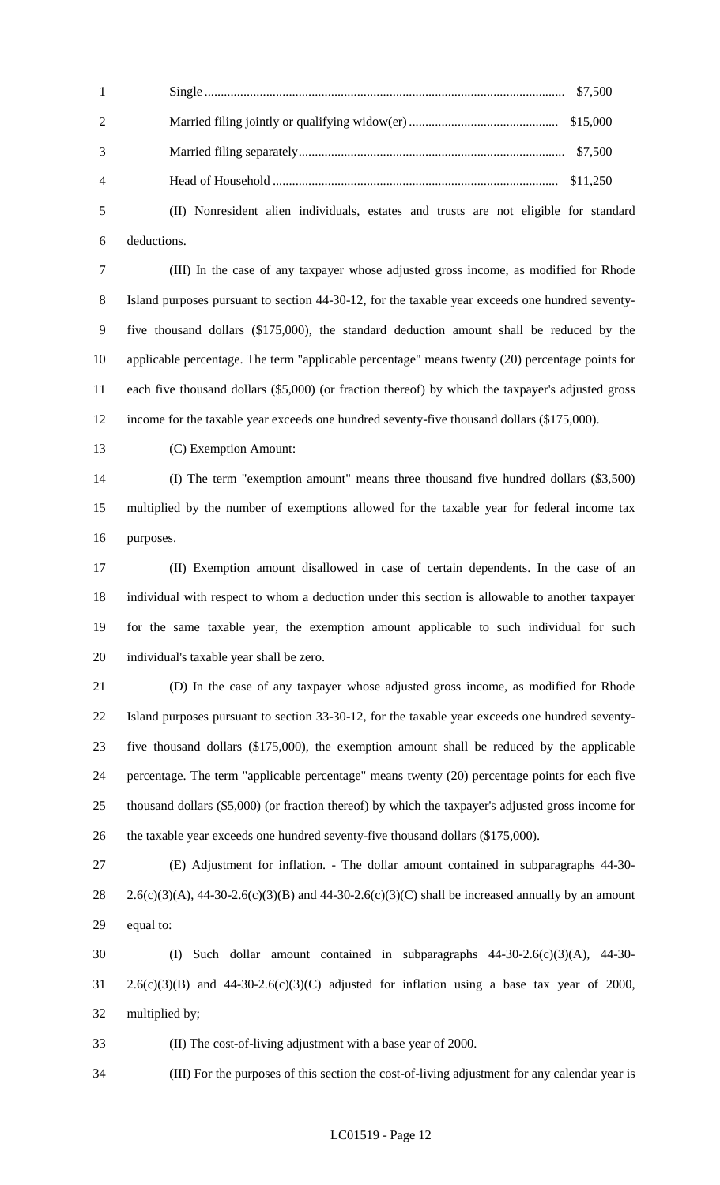| $\sim$ 1.0 $\sim$ 1.0 $\sim$ |  |
|------------------------------|--|
|                              |  |
| 3                            |  |
| $\overline{4}$               |  |

5 (II) Nonresident alien individuals, estates and trusts are not eligible for standard 6 deductions.

7 (III) In the case of any taxpayer whose adjusted gross income, as modified for Rhode 8 Island purposes pursuant to section 44-30-12, for the taxable year exceeds one hundred seventy-9 five thousand dollars (\$175,000), the standard deduction amount shall be reduced by the 10 applicable percentage. The term "applicable percentage" means twenty (20) percentage points for 11 each five thousand dollars (\$5,000) (or fraction thereof) by which the taxpayer's adjusted gross 12 income for the taxable year exceeds one hundred seventy-five thousand dollars (\$175,000).

13 (C) Exemption Amount:

14 (I) The term "exemption amount" means three thousand five hundred dollars (\$3,500) 15 multiplied by the number of exemptions allowed for the taxable year for federal income tax 16 purposes.

17 (II) Exemption amount disallowed in case of certain dependents. In the case of an 18 individual with respect to whom a deduction under this section is allowable to another taxpayer 19 for the same taxable year, the exemption amount applicable to such individual for such 20 individual's taxable year shall be zero.

21 (D) In the case of any taxpayer whose adjusted gross income, as modified for Rhode 22 Island purposes pursuant to section 33-30-12, for the taxable year exceeds one hundred seventy-23 five thousand dollars (\$175,000), the exemption amount shall be reduced by the applicable 24 percentage. The term "applicable percentage" means twenty (20) percentage points for each five 25 thousand dollars (\$5,000) (or fraction thereof) by which the taxpayer's adjusted gross income for 26 the taxable year exceeds one hundred seventy-five thousand dollars (\$175,000).

27 (E) Adjustment for inflation. - The dollar amount contained in subparagraphs 44-30- 28 2.6(c)(3)(A), 44-30-2.6(c)(3)(B) and 44-30-2.6(c)(3)(C) shall be increased annually by an amount 29 equal to:

30 (I) Such dollar amount contained in subparagraphs 44-30-2.6(c)(3)(A), 44-30- 31 2.6(c)(3)(B) and 44-30-2.6(c)(3)(C) adjusted for inflation using a base tax year of 2000, 32 multiplied by;

33 (II) The cost-of-living adjustment with a base year of 2000.

34 (III) For the purposes of this section the cost-of-living adjustment for any calendar year is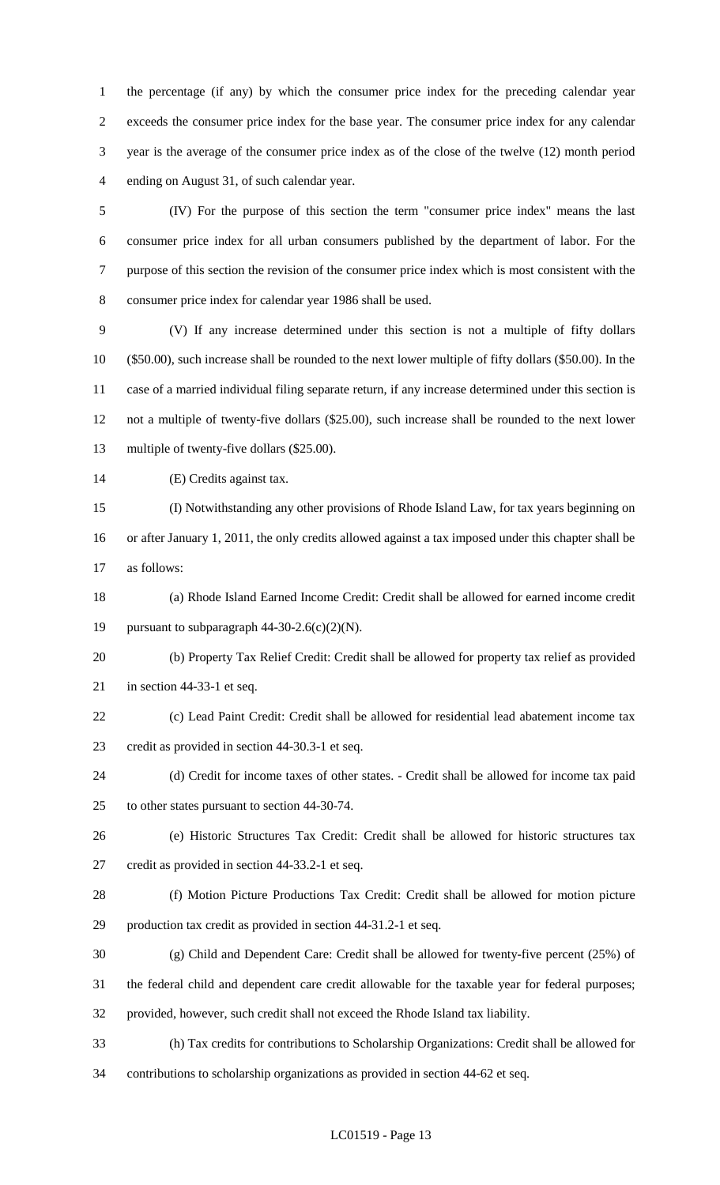1 the percentage (if any) by which the consumer price index for the preceding calendar year 2 exceeds the consumer price index for the base year. The consumer price index for any calendar 3 year is the average of the consumer price index as of the close of the twelve (12) month period 4 ending on August 31, of such calendar year.

5 (IV) For the purpose of this section the term "consumer price index" means the last 6 consumer price index for all urban consumers published by the department of labor. For the 7 purpose of this section the revision of the consumer price index which is most consistent with the 8 consumer price index for calendar year 1986 shall be used.

9 (V) If any increase determined under this section is not a multiple of fifty dollars 10 (\$50.00), such increase shall be rounded to the next lower multiple of fifty dollars (\$50.00). In the 11 case of a married individual filing separate return, if any increase determined under this section is 12 not a multiple of twenty-five dollars (\$25.00), such increase shall be rounded to the next lower 13 multiple of twenty-five dollars (\$25.00).

14 (E) Credits against tax.

15 (I) Notwithstanding any other provisions of Rhode Island Law, for tax years beginning on 16 or after January 1, 2011, the only credits allowed against a tax imposed under this chapter shall be 17 as follows:

18 (a) Rhode Island Earned Income Credit: Credit shall be allowed for earned income credit 19 pursuant to subparagraph  $44-30-2.6(c)(2)(N)$ .

20 (b) Property Tax Relief Credit: Credit shall be allowed for property tax relief as provided 21 in section 44-33-1 et seq.

- 22 (c) Lead Paint Credit: Credit shall be allowed for residential lead abatement income tax 23 credit as provided in section 44-30.3-1 et seq.
- 24 (d) Credit for income taxes of other states. Credit shall be allowed for income tax paid 25 to other states pursuant to section 44-30-74.
- 26 (e) Historic Structures Tax Credit: Credit shall be allowed for historic structures tax
- 27 credit as provided in section 44-33.2-1 et seq.
- 28 (f) Motion Picture Productions Tax Credit: Credit shall be allowed for motion picture 29 production tax credit as provided in section 44-31.2-1 et seq.
- 30 (g) Child and Dependent Care: Credit shall be allowed for twenty-five percent (25%) of
- 31 the federal child and dependent care credit allowable for the taxable year for federal purposes;
- 32 provided, however, such credit shall not exceed the Rhode Island tax liability.
- 33 (h) Tax credits for contributions to Scholarship Organizations: Credit shall be allowed for
- 34 contributions to scholarship organizations as provided in section 44-62 et seq.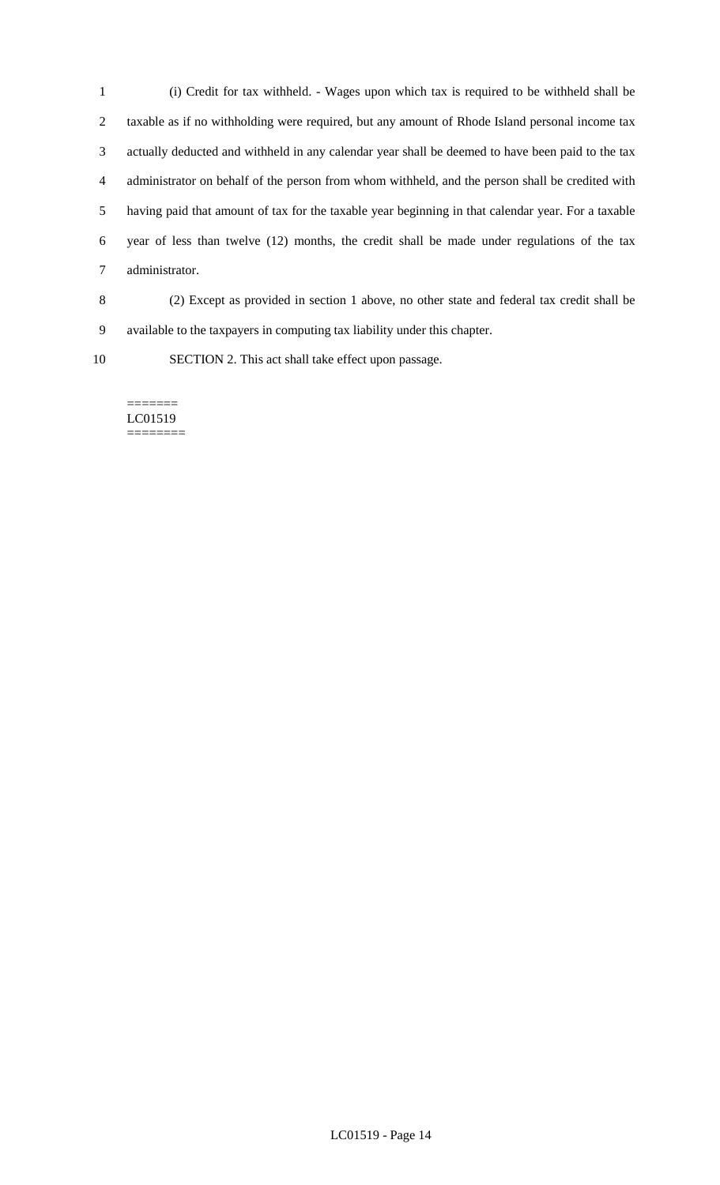1 (i) Credit for tax withheld. - Wages upon which tax is required to be withheld shall be 2 taxable as if no withholding were required, but any amount of Rhode Island personal income tax 3 actually deducted and withheld in any calendar year shall be deemed to have been paid to the tax 4 administrator on behalf of the person from whom withheld, and the person shall be credited with 5 having paid that amount of tax for the taxable year beginning in that calendar year. For a taxable 6 year of less than twelve (12) months, the credit shall be made under regulations of the tax 7 administrator.

8 (2) Except as provided in section 1 above, no other state and federal tax credit shall be 9 available to the taxpayers in computing tax liability under this chapter.

10 SECTION 2. This act shall take effect upon passage.

#### ======= LC01519 ========